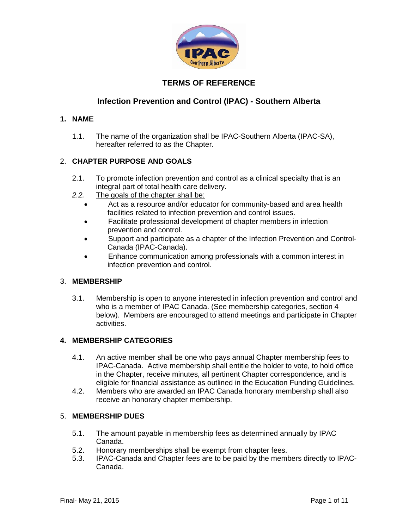

# **TERMS OF REFERENCE**

# **Infection Prevention and Control (IPAC) - Southern Alberta**

### **1. NAME**

1.1. The name of the organization shall be IPAC-Southern Alberta (IPAC-SA), hereafter referred to as the Chapter.

# 2. **CHAPTER PURPOSE AND GOALS**

- 2.1. To promote infection prevention and control as a clinical specialty that is an integral part of total health care delivery.
- *2.2.* The goals of the chapter shall be:
	- Act as a resource and/or educator for community-based and area health facilities related to infection prevention and control issues.
	- Facilitate professional development of chapter members in infection prevention and control.
	- Support and participate as a chapter of the Infection Prevention and Control-Canada (IPAC-Canada).
	- Enhance communication among professionals with a common interest in infection prevention and control.

### 3. **MEMBERSHIP**

3.1. Membership is open to anyone interested in infection prevention and control and who is a member of IPAC Canada. (See membership categories, section 4 below). Members are encouraged to attend meetings and participate in Chapter activities.

### **4. MEMBERSHIP CATEGORIES**

- 4.1. An active member shall be one who pays annual Chapter membership fees to IPAC-Canada. Active membership shall entitle the holder to vote, to hold office in the Chapter, receive minutes, all pertinent Chapter correspondence, and is eligible for financial assistance as outlined in the Education Funding Guidelines.
- 4.2. Members who are awarded an IPAC Canada honorary membership shall also receive an honorary chapter membership.

### 5. **MEMBERSHIP DUES**

- 5.1. The amount payable in membership fees as determined annually by IPAC Canada.
- 5.2. Honorary memberships shall be exempt from chapter fees.
- 5.3. IPAC-Canada and Chapter fees are to be paid by the members directly to IPAC-Canada.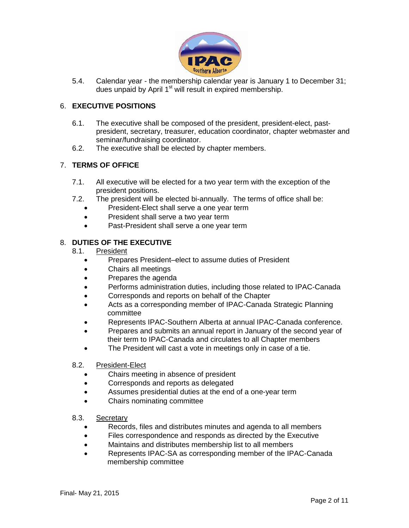

5.4. Calendar year - the membership calendar year is January 1 to December 31; dues unpaid by April 1<sup>st</sup> will result in expired membership.

# 6. **EXECUTIVE POSITIONS**

- 6.1. The executive shall be composed of the president, president-elect, pastpresident, secretary, treasurer, education coordinator, chapter webmaster and seminar/fundraising coordinator.
- 6.2. The executive shall be elected by chapter members.

# 7. **TERMS OF OFFICE**

- 7.1. All executive will be elected for a two year term with the exception of the president positions.
- 7.2. The president will be elected bi-annually. The terms of office shall be:
	- President-Elect shall serve a one year term
	- President shall serve a two year term
	- Past-President shall serve a one year term

### 8. **DUTIES OF THE EXECUTIVE**

#### 8.1. President

- Prepares President–elect to assume duties of President
- Chairs all meetings
- Prepares the agenda
- Performs administration duties, including those related to IPAC-Canada
- Corresponds and reports on behalf of the Chapter
- Acts as a corresponding member of IPAC-Canada Strategic Planning committee
- Represents IPAC-Southern Alberta at annual IPAC-Canada conference.
- Prepares and submits an annual report in January of the second year of their term to IPAC-Canada and circulates to all Chapter members
- The President will cast a vote in meetings only in case of a tie.

#### 8.2. President-Elect

- Chairs meeting in absence of president
- Corresponds and reports as delegated
- Assumes presidential duties at the end of a one-year term
- Chairs nominating committee

#### 8.3. Secretary

- Records, files and distributes minutes and agenda to all members
- Files correspondence and responds as directed by the Executive
- Maintains and distributes membership list to all members
- Represents IPAC-SA as corresponding member of the IPAC-Canada membership committee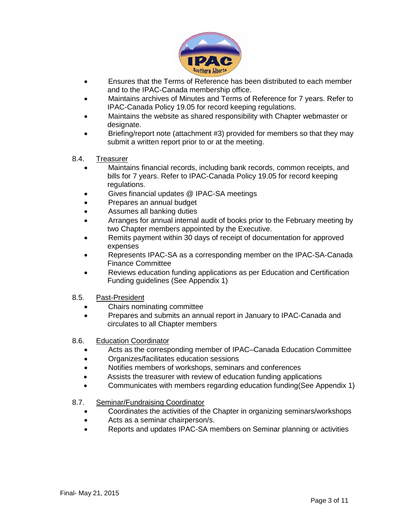

- Ensures that the Terms of Reference has been distributed to each member and to the IPAC-Canada membership office.
- Maintains archives of Minutes and Terms of Reference for 7 years. Refer to IPAC-Canada Policy 19.05 for record keeping regulations.
- Maintains the website as shared responsibility with Chapter webmaster or designate.
- Briefing/report note (attachment #3) provided for members so that they may submit a written report prior to or at the meeting.
- 8.4. Treasurer
	- Maintains financial records, including bank records, common receipts, and bills for 7 years. Refer to IPAC-Canada Policy 19.05 for record keeping regulations.
	- Gives financial updates @ IPAC-SA meetings
	- Prepares an annual budget
	- Assumes all banking duties
	- Arranges for annual internal audit of books prior to the February meeting by two Chapter members appointed by the Executive.
	- Remits payment within 30 days of receipt of documentation for approved expenses
	- Represents IPAC-SA as a corresponding member on the IPAC-SA-Canada Finance Committee
	- Reviews education funding applications as per Education and Certification Funding guidelines (See Appendix 1)
- 8.5. Past-President
	- Chairs nominating committee
	- Prepares and submits an annual report in January to IPAC-Canada and circulates to all Chapter members
- 8.6. Education Coordinator
	- Acts as the corresponding member of IPAC–Canada Education Committee
	- Organizes/facilitates education sessions
	- Notifies members of workshops, seminars and conferences
	- Assists the treasurer with review of education funding applications
	- Communicates with members regarding education funding(See Appendix 1)
- 8.7. Seminar/Fundraising Coordinator
	- Coordinates the activities of the Chapter in organizing seminars/workshops
	- Acts as a seminar chairperson/s.
	- Reports and updates IPAC-SA members on Seminar planning or activities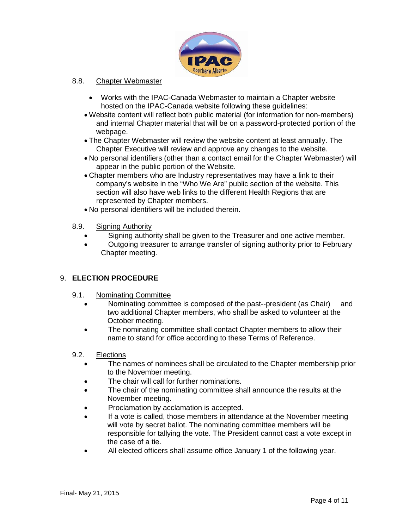

### 8.8. Chapter Webmaster

- Works with the IPAC-Canada Webmaster to maintain a Chapter website hosted on the IPAC-Canada website following these guidelines:
- Website content will reflect both public material (for information for non-members) and internal Chapter material that will be on a password-protected portion of the webpage.
- The Chapter Webmaster will review the website content at least annually. The Chapter Executive will review and approve any changes to the website.
- No personal identifiers (other than a contact email for the Chapter Webmaster) will appear in the public portion of the Website.
- Chapter members who are Industry representatives may have a link to their company's website in the "Who We Are" public section of the website. This section will also have web links to the different Health Regions that are represented by Chapter members.
- No personal identifiers will be included therein.
- 8.9. Signing Authority
	- Signing authority shall be given to the Treasurer and one active member.
	- Outgoing treasurer to arrange transfer of signing authority prior to February Chapter meeting.

### 9. **ELECTION PROCEDURE**

- 9.1. Nominating Committee
	- Nominating committee is composed of the past--president (as Chair) and two additional Chapter members, who shall be asked to volunteer at the October meeting.
	- The nominating committee shall contact Chapter members to allow their name to stand for office according to these Terms of Reference.

#### 9.2. Elections

- The names of nominees shall be circulated to the Chapter membership prior to the November meeting.
- The chair will call for further nominations.
- The chair of the nominating committee shall announce the results at the November meeting.
- Proclamation by acclamation is accepted.
- If a vote is called, those members in attendance at the November meeting will vote by secret ballot. The nominating committee members will be responsible for tallying the vote. The President cannot cast a vote except in the case of a tie.
- All elected officers shall assume office January 1 of the following year.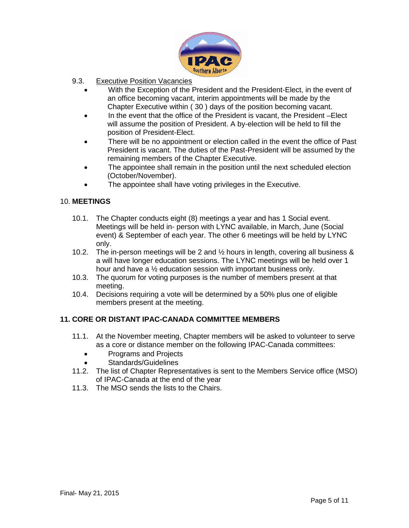

- 9.3. Executive Position Vacancies
	- With the Exception of the President and the President-Elect, in the event of an office becoming vacant, interim appointments will be made by the Chapter Executive within ( 30 ) days of the position becoming vacant.
	- In the event that the office of the President is vacant, the President –Elect will assume the position of President. A by-election will be held to fill the position of President-Elect.
	- There will be no appointment or election called in the event the office of Past President is vacant. The duties of the Past-President will be assumed by the remaining members of the Chapter Executive.
	- The appointee shall remain in the position until the next scheduled election (October/November).
	- The appointee shall have voting privileges in the Executive.

### 10. **MEETINGS**

- 10.1. The Chapter conducts eight (8) meetings a year and has 1 Social event. Meetings will be held in- person with LYNC available, in March, June (Social event) & September of each year. The other 6 meetings will be held by LYNC only.
- 10.2. The in-person meetings will be 2 and ½ hours in length, covering all business & a will have longer education sessions. The LYNC meetings will be held over 1 hour and have a ½ education session with important business only.
- 10.3. The quorum for voting purposes is the number of members present at that meeting.
- 10.4. Decisions requiring a vote will be determined by a 50% plus one of eligible members present at the meeting.

### **11. CORE OR DISTANT IPAC-CANADA COMMITTEE MEMBERS**

- 11.1. At the November meeting, Chapter members will be asked to volunteer to serve as a core or distance member on the following IPAC-Canada committees:
	- Programs and Projects
	- Standards/Guidelines
- 11.2. The list of Chapter Representatives is sent to the Members Service office (MSO) of IPAC-Canada at the end of the year
- 11.3. The MSO sends the lists to the Chairs.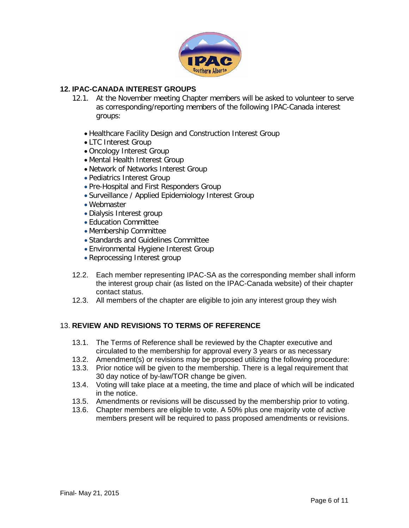

### **12. IPAC-CANADA INTEREST GROUPS**

- 12.1. At the November meeting Chapter members will be asked to volunteer to serve as corresponding/reporting members of the following IPAC-Canada interest groups:
	- Healthcare Facility Design and Construction Interest Group
	- LTC Interest Group
	- Oncology Interest Group
	- Mental Health Interest Group
	- Network of Networks Interest Group
	- Pediatrics Interest Group
	- Pre-Hospital and First Responders Group
	- Surveillance / Applied Epidemiology Interest Group
	- Webmaster
	- Dialysis Interest group
	- Education Committee
	- Membership Committee
	- Standards and Guidelines Committee
	- Environmental Hygiene Interest Group
	- Reprocessing Interest group
- 12.2. Each member representing IPAC-SA as the corresponding member shall inform the interest group chair (as listed on the IPAC-Canada website) of their chapter contact status.
- 12.3. All members of the chapter are eligible to join any interest group they wish

### 13. **REVIEW AND REVISIONS TO TERMS OF REFERENCE**

- 13.1. The Terms of Reference shall be reviewed by the Chapter executive and circulated to the membership for approval every 3 years or as necessary
- 13.2. Amendment(s) or revisions may be proposed utilizing the following procedure:
- 13.3. Prior notice will be given to the membership. There is a legal requirement that 30 day notice of by-law/TOR change be given.
- 13.4. Voting will take place at a meeting, the time and place of which will be indicated in the notice.
- 13.5. Amendments or revisions will be discussed by the membership prior to voting.
- 13.6. Chapter members are eligible to vote. A 50% plus one majority vote of active members present will be required to pass proposed amendments or revisions.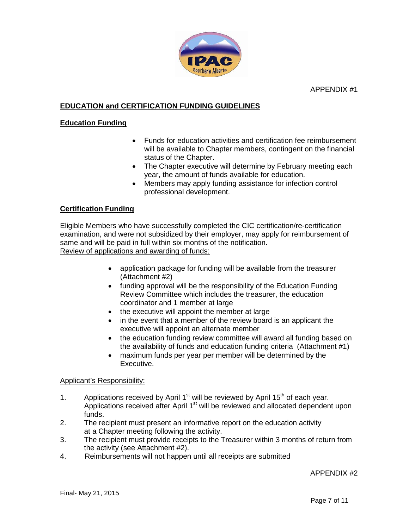APPENDIX #1



# **EDUCATION and CERTIFICATION FUNDING GUIDELINES**

### **Education Funding**

- Funds for education activities and certification fee reimbursement will be available to Chapter members, contingent on the financial status of the Chapter.
- The Chapter executive will determine by February meeting each year, the amount of funds available for education.
- Members may apply funding assistance for infection control professional development.

# **Certification Funding**

Eligible Members who have successfully completed the CIC certification/re-certification examination, and were not subsidized by their employer, may apply for reimbursement of same and will be paid in full within six months of the notification. Review of applications and awarding of funds:

- application package for funding will be available from the treasurer (Attachment #2)
- funding approval will be the responsibility of the Education Funding Review Committee which includes the treasurer, the education coordinator and 1 member at large
- the executive will appoint the member at large
- in the event that a member of the review board is an applicant the executive will appoint an alternate member
- the education funding review committee will award all funding based on the availability of funds and education funding criteria (Attachment #1)
- maximum funds per year per member will be determined by the Executive.

#### Applicant's Responsibility:

- 1. Applications received by April  $1<sup>st</sup>$  will be reviewed by April  $15<sup>th</sup>$  of each year. Applications received after April  $1<sup>st</sup>$  will be reviewed and allocated dependent upon funds.
- 2. The recipient must present an informative report on the education activity at a Chapter meeting following the activity.
- 3. The recipient must provide receipts to the Treasurer within 3 months of return from the activity (see Attachment #2).
- 4. Reimbursements will not happen until all receipts are submitted

#### APPENDIX #2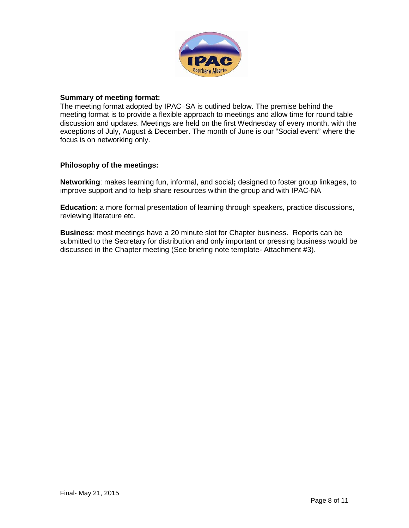

#### **Summary of meeting format:**

The meeting format adopted by IPAC–SA is outlined below. The premise behind the meeting format is to provide a flexible approach to meetings and allow time for round table discussion and updates. Meetings are held on the first Wednesday of every month, with the exceptions of July, August & December. The month of June is our "Social event" where the focus is on networking only.

### **Philosophy of the meetings:**

**Networking**: makes learning fun, informal, and social**;** designed to foster group linkages, to improve support and to help share resources within the group and with IPAC-NA

**Education**: a more formal presentation of learning through speakers, practice discussions, reviewing literature etc.

**Business**: most meetings have a 20 minute slot for Chapter business. Reports can be submitted to the Secretary for distribution and only important or pressing business would be discussed in the Chapter meeting (See briefing note template- Attachment #3).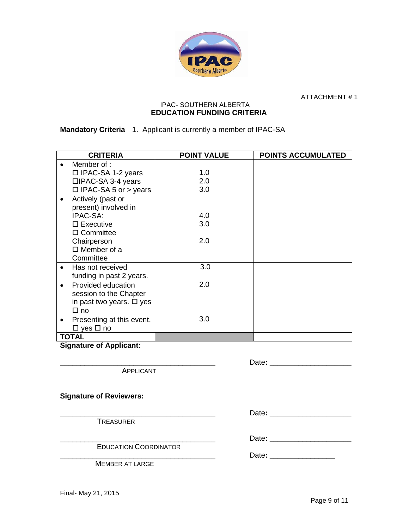

ATTACHMENT # 1

#### IPAC- SOUTHERN ALBERTA **EDUCATION FUNDING CRITERIA**

**Mandatory Criteria** 1. Applicant is currently a member of IPAC-SA

| <b>CRITERIA</b>                           | <b>POINT VALUE</b> | <b>POINTS ACCUMULATED</b> |
|-------------------------------------------|--------------------|---------------------------|
| Member of :                               |                    |                           |
| □ IPAC-SA 1-2 years                       | 1.0                |                           |
| □IPAC-SA 3-4 years                        | 2.0                |                           |
| $\Box$ IPAC-SA 5 or > years               | 3.0                |                           |
| Actively (past or<br>present) involved in |                    |                           |
| IPAC-SA:                                  | 4.0                |                           |
| $\square$ Executive                       | 3.0                |                           |
| $\Box$ Committee                          |                    |                           |
| Chairperson                               | 2.0                |                           |
| $\Box$ Member of a                        |                    |                           |
| Committee                                 |                    |                           |
| Has not received<br>$\bullet$             | 3.0                |                           |
| funding in past 2 years.                  |                    |                           |
| Provided education<br>$\bullet$           | 2.0                |                           |
| session to the Chapter                    |                    |                           |
| in past two years. $\Box$ yes             |                    |                           |
| $\square$ no                              |                    |                           |
| Presenting at this event.<br>٠            | 3.0                |                           |
| $\Box$ yes $\Box$ no                      |                    |                           |
| <b>TOTAL</b>                              |                    |                           |

**Signature of Applicant:** 

APPLICANT

**Signature of Reviewers:**

TREASURER

**EDUCATION COORDINATOR** 

MEMBER AT LARGE

**\_\_\_\_\_\_\_\_\_\_\_\_\_\_\_\_\_\_\_\_\_\_\_\_\_\_\_\_\_\_\_\_\_\_\_\_\_\_** Date**: \_\_\_\_\_\_\_\_\_\_\_\_\_\_\_\_\_\_\_\_**

**\_\_\_\_\_\_\_\_\_\_\_\_\_\_\_\_\_\_\_\_\_\_\_\_\_\_\_\_\_\_\_\_\_\_\_\_\_\_** Date**: \_\_\_\_\_\_\_\_\_\_\_\_\_\_\_\_\_\_\_\_**

\_\_\_\_\_\_\_\_\_\_\_\_\_\_\_\_\_\_\_\_\_\_\_\_\_\_\_\_\_\_\_\_\_\_\_\_\_\_ Date**: \_\_\_\_\_\_\_\_\_\_\_\_\_\_\_\_\_\_\_\_**

Date: **Date: Date: Date: Date: Date: Date: Date: Date: Date: Date: Date: Date: Date: Date: Date: Date: Date: Date: Date: Date: Date: Date: Date: Date: Date: Date: Date:**

Final- May 21, 2015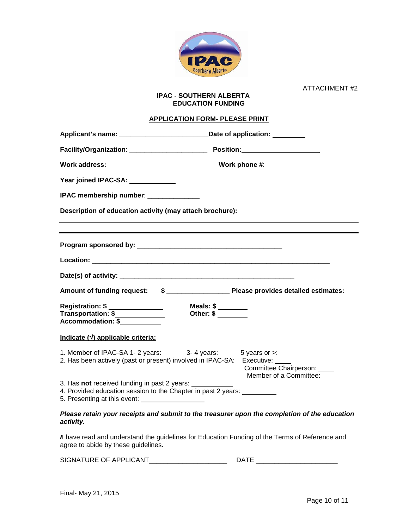

ATTACHMENT #2

#### **IPAC - SOUTHERN ALBERTA EDUCATION FUNDING**

#### **APPLICATION FORM- PLEASE PRINT**

| Applicant's name: __________________________________Date of application: ________                                                                              |                                                                                               |  |  |  |  |
|----------------------------------------------------------------------------------------------------------------------------------------------------------------|-----------------------------------------------------------------------------------------------|--|--|--|--|
|                                                                                                                                                                |                                                                                               |  |  |  |  |
|                                                                                                                                                                |                                                                                               |  |  |  |  |
| Year joined IPAC-SA: ___________                                                                                                                               |                                                                                               |  |  |  |  |
| IPAC membership number: ______________                                                                                                                         |                                                                                               |  |  |  |  |
| Description of education activity (may attach brochure):                                                                                                       |                                                                                               |  |  |  |  |
|                                                                                                                                                                |                                                                                               |  |  |  |  |
|                                                                                                                                                                |                                                                                               |  |  |  |  |
|                                                                                                                                                                | Amount of funding request: \$ ____________________ Please provides detailed estimates:        |  |  |  |  |
| Registration: \$ _______________<br>Transportation: \$<br>Accommodation: \$                                                                                    | Meals: \$ _______<br>Other: \$                                                                |  |  |  |  |
| Indicate $(\sqrt{})$ applicable criteria:                                                                                                                      |                                                                                               |  |  |  |  |
| 1. Member of IPAC-SA 1- 2 years: ______ 3- 4 years: _____ 5 years or >: _______<br>2. Has been actively (past or present) involved in IPAC-SA: Executive: ____ | Committee Chairperson: _____<br>Member of a Committee:                                        |  |  |  |  |
| 3. Has not received funding in past 2 years:<br>4. Provided education session to the Chapter in past 2 years:                                                  |                                                                                               |  |  |  |  |
|                                                                                                                                                                | Dleage retain very reseinte and outpoit to the treasurer upon the completion of the education |  |  |  |  |

#### *Please retain your receipts and submit to the treasurer upon the completion of the education activity.*

*I*I have read and understand the guidelines for Education Funding of the Terms of Reference and agree to abide by these guidelines.

| <b>SIGNAT</b><br>APPI ICANT<br>TURE OF<br>и D<br>URE |  |
|------------------------------------------------------|--|
|------------------------------------------------------|--|